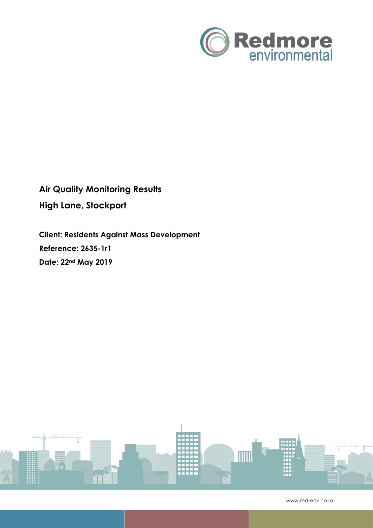

**Air Quality Monitoring Results High Lane, Stockport**

**Client: Residents Against Mass Development Reference: 2635-1r1 Date: 22nd May 2019**



www.red-env.co.uk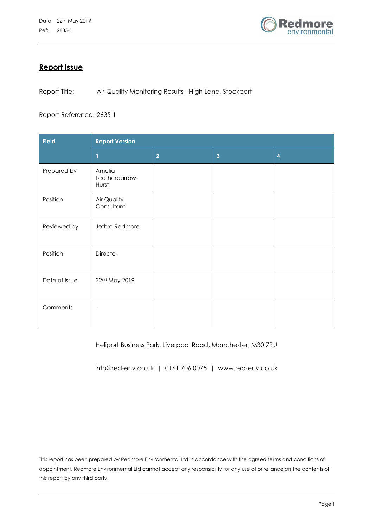

# **Report Issue**

Report Title: Air Quality Monitoring Results - High Lane, Stockport

Report Reference: 2635-1

| <b>Field</b>  | <b>Report Version</b>             |                |                         |                |  |  |
|---------------|-----------------------------------|----------------|-------------------------|----------------|--|--|
|               |                                   | $\overline{2}$ | $\overline{\mathbf{3}}$ | $\overline{4}$ |  |  |
| Prepared by   | Amelia<br>Leatherbarrow-<br>Hurst |                |                         |                |  |  |
| Position      | Air Quality<br>Consultant         |                |                         |                |  |  |
| Reviewed by   | Jethro Redmore                    |                |                         |                |  |  |
| Position      | Director                          |                |                         |                |  |  |
| Date of Issue | 22nd May 2019                     |                |                         |                |  |  |
| Comments      | $\overline{\phantom{a}}$          |                |                         |                |  |  |

Heliport Business Park, Liverpool Road, Manchester, M30 7RU

info@red-env.co.uk | 0161 706 0075 | www.red-env.co.uk

This report has been prepared by Redmore Environmental Ltd in accordance with the agreed terms and conditions of appointment. Redmore Environmental Ltd cannot accept any responsibility for any use of or reliance on the contents of this report by any third party.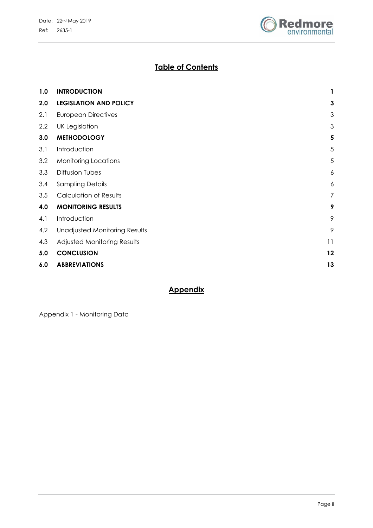

# **Table of Contents**

| 1.0 | <b>INTRODUCTION</b>                  | 1              |
|-----|--------------------------------------|----------------|
| 2.0 | <b>LEGISLATION AND POLICY</b>        | 3              |
| 2.1 | <b>European Directives</b>           | 3              |
| 2.2 | <b>UK Legislation</b>                | 3              |
| 3.0 | <b>METHODOLOGY</b>                   | 5              |
| 3.1 | Introduction                         | 5              |
| 3.2 | <b>Monitoring Locations</b>          | 5              |
| 3.3 | <b>Diffusion Tubes</b>               | 6              |
| 3.4 | <b>Sampling Details</b>              | 6              |
| 3.5 | <b>Calculation of Results</b>        | $\overline{7}$ |
| 4.0 | <b>MONITORING RESULTS</b>            | 9              |
| 4.1 | Introduction                         | 9              |
| 4.2 | <b>Unadjusted Monitoring Results</b> | 9              |
| 4.3 | Adjusted Monitoring Results          | 11             |
| 5.0 | <b>CONCLUSION</b>                    | 12             |
| 6.0 | <b>ABBREVIATIONS</b>                 | 13             |
|     |                                      |                |

# **Appendix**

Appendix 1 - Monitoring Data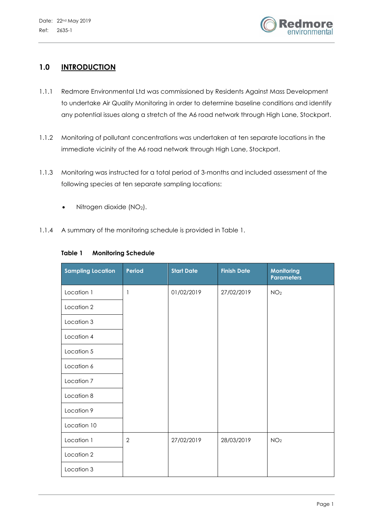

# **1.0 INTRODUCTION**

- 1.1.1 Redmore Environmental Ltd was commissioned by Residents Against Mass Development to undertake Air Quality Monitoring in order to determine baseline conditions and identify any potential issues along a stretch of the A6 road network through High Lane, Stockport.
- 1.1.2 Monitoring of pollutant concentrations was undertaken at ten separate locations in the immediate vicinity of the A6 road network through High Lane, Stockport.
- 1.1.3 Monitoring was instructed for a total period of 3-months and included assessment of the following species at ten separate sampling locations:
	- $\bullet$  Nitrogen dioxide (NO<sub>2</sub>).
- 1.1.4 A summary of the monitoring schedule is provided in Table 1.

| <b>Sampling Location</b> | Period         | <b>Start Date</b> | <b>Finish Date</b> | <b>Monitoring</b><br><b>Parameters</b> |
|--------------------------|----------------|-------------------|--------------------|----------------------------------------|
| Location 1               | 1              | 01/02/2019        | 27/02/2019         | NO <sub>2</sub>                        |
| Location 2               |                |                   |                    |                                        |
| Location 3               |                |                   |                    |                                        |
| Location 4               |                |                   |                    |                                        |
| Location 5               |                |                   |                    |                                        |
| Location 6               |                |                   |                    |                                        |
| Location 7               |                |                   |                    |                                        |
| Location 8               |                |                   |                    |                                        |
| Location 9               |                |                   |                    |                                        |
| Location 10              |                |                   |                    |                                        |
| Location 1               | $\overline{2}$ | 27/02/2019        | 28/03/2019         | NO <sub>2</sub>                        |
| Location 2               |                |                   |                    |                                        |
| Location 3               |                |                   |                    |                                        |

#### **Table 1 Monitoring Schedule**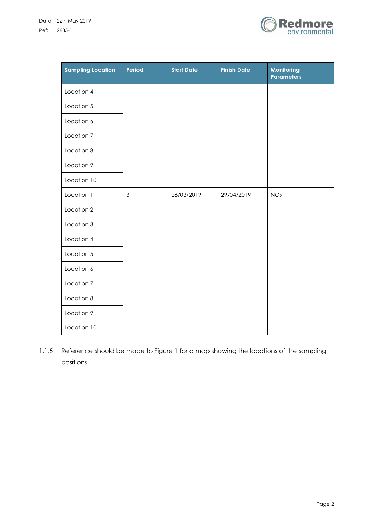

| <b>Sampling Location</b> | Period         | <b>Start Date</b> | <b>Finish Date</b> | Monitoring<br><b>Parameters</b> |
|--------------------------|----------------|-------------------|--------------------|---------------------------------|
| Location 4               |                |                   |                    |                                 |
| Location 5               |                |                   |                    |                                 |
| Location 6               |                |                   |                    |                                 |
| Location 7               |                |                   |                    |                                 |
| Location 8               |                |                   |                    |                                 |
| Location 9               |                |                   |                    |                                 |
| Location 10              |                |                   |                    |                                 |
| Location 1               | $\mathfrak{Z}$ | 28/03/2019        | 29/04/2019         | NO <sub>2</sub>                 |
| Location 2               |                |                   |                    |                                 |
| Location 3               |                |                   |                    |                                 |
| Location 4               |                |                   |                    |                                 |
| Location 5               |                |                   |                    |                                 |
| Location 6               |                |                   |                    |                                 |
| Location 7               |                |                   |                    |                                 |
| Location 8               |                |                   |                    |                                 |
| Location 9               |                |                   |                    |                                 |
| Location 10              |                |                   |                    |                                 |

1.1.5 Reference should be made to Figure 1 for a map showing the locations of the sampling positions.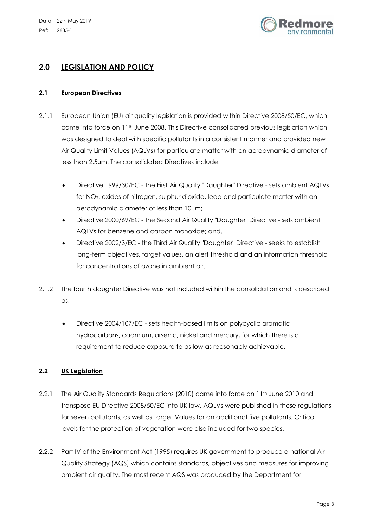

# **2.0 LEGISLATION AND POLICY**

#### **2.1 European Directives**

- 2.1.1 European Union (EU) air quality legislation is provided within Directive 2008/50/EC, which came into force on 11<sup>th</sup> June 2008. This Directive consolidated previous legislation which was designed to deal with specific pollutants in a consistent manner and provided new Air Quality Limit Values (AQLVs) for particulate matter with an aerodynamic diameter of less than 2.5µm. The consolidated Directives include:
	- Directive 1999/30/EC the First Air Quality "Daughter" Directive sets ambient AQLVs for NO2, oxides of nitrogen, sulphur dioxide, lead and particulate matter with an aerodynamic diameter of less than 10µm;
	- Directive 2000/69/EC the Second Air Quality "Daughter" Directive sets ambient AQLVs for benzene and carbon monoxide; and,
	- Directive 2002/3/EC the Third Air Quality "Daughter" Directive seeks to establish long-term objectives, target values, an alert threshold and an information threshold for concentrations of ozone in ambient air.
- 2.1.2 The fourth daughter Directive was not included within the consolidation and is described as:
	- Directive 2004/107/EC sets health-based limits on polycyclic aromatic hydrocarbons, cadmium, arsenic, nickel and mercury, for which there is a requirement to reduce exposure to as low as reasonably achievable.

### **2.2 UK Legislation**

- 2.2.1 The Air Quality Standards Regulations (2010) came into force on 11<sup>th</sup> June 2010 and transpose EU Directive 2008/50/EC into UK law. AQLVs were published in these regulations for seven pollutants, as well as Target Values for an additional five pollutants. Critical levels for the protection of vegetation were also included for two species.
- 2.2.2 Part IV of the Environment Act (1995) requires UK government to produce a national Air Quality Strategy (AQS) which contains standards, objectives and measures for improving ambient air quality. The most recent AQS was produced by the Department for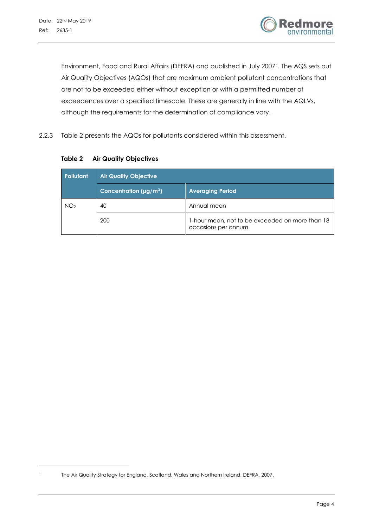l



Environment, Food and Rural Affairs (DEFRA) and published in July 2007<sup>1</sup>. The AQS sets out Air Quality Objectives (AQOs) that are maximum ambient pollutant concentrations that are not to be exceeded either without exception or with a permitted number of exceedences over a specified timescale. These are generally in line with the AQLVs, although the requirements for the determination of compliance vary.

2.2.3 Table 2 presents the AQOs for pollutants considered within this assessment.

**Pollutant Air Quality Objective Concentration (µg/m3) Averaging Period** NO<sub>2</sub> 40 Annual mean 200 1-hour mean, not to be exceeded on more than 18 occasions per annum

**Table 2 Air Quality Objectives**

<sup>1</sup> The Air Quality Strategy for England, Scotland, Wales and Northern Ireland, DEFRA, 2007.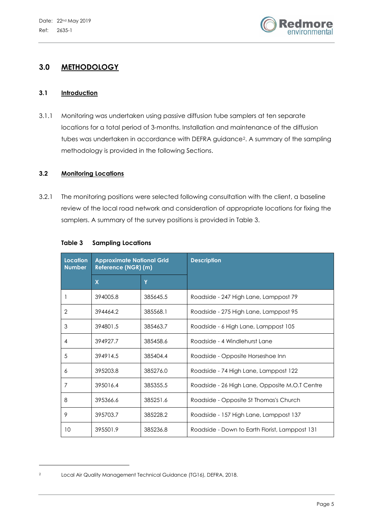

# **3.0 METHODOLOGY**

#### **3.1 Introduction**

3.1.1 Monitoring was undertaken using passive diffusion tube samplers at ten separate locations for a total period of 3-months. Installation and maintenance of the diffusion tubes was undertaken in accordance with DEFRA guidance2. A summary of the sampling methodology is provided in the following Sections.

#### **3.2 Monitoring Locations**

3.2.1 The monitoring positions were selected following consultation with the client, a baseline review of the local road network and consideration of appropriate locations for fixing the samplers. A summary of the survey positions is provided in Table 3.

| <b>Location</b><br><b>Number</b> | <b>Approximate National Grid</b><br>Reference (NGR) (m) |          | <b>Description</b>                             |
|----------------------------------|---------------------------------------------------------|----------|------------------------------------------------|
|                                  | $\boldsymbol{\mathsf{X}}$                               | Y        |                                                |
|                                  | 394005.8                                                | 385645.5 | Roadside - 247 High Lane, Lamppost 79          |
| 2                                | 394464.2                                                | 385568.1 | Roadside - 275 High Lane, Lamppost 95          |
| 3                                | 394801.5                                                | 385463.7 | Roadside - 6 High Lane, Lamppost 105           |
| 4                                | 394927.7                                                | 385458.6 | Roadside - 4 Windlehurst Lane                  |
| 5                                | 394914.5                                                | 385404.4 | Roadside - Opposite Horseshoe Inn              |
| 6                                | 395203.8                                                | 385276.0 | Roadside - 74 High Lane, Lamppost 122          |
| 7                                | 395016.4                                                | 385355.5 | Roadside - 26 High Lane, Opposite M.O.T Centre |
| 8                                | 395366.6                                                | 385251.6 | Roadside - Opposite St Thomas's Church         |
| 9                                | 395703.7                                                | 385228.2 | Roadside - 157 High Lane, Lamppost 137         |
| 10                               | 395501.9                                                | 385236.8 | Roadside - Down to Earth Florist, Lamppost 131 |

#### **Table 3 Sampling Locations**

l

<sup>2</sup> Local Air Quality Management Technical Guidance (TG16), DEFRA, 2018.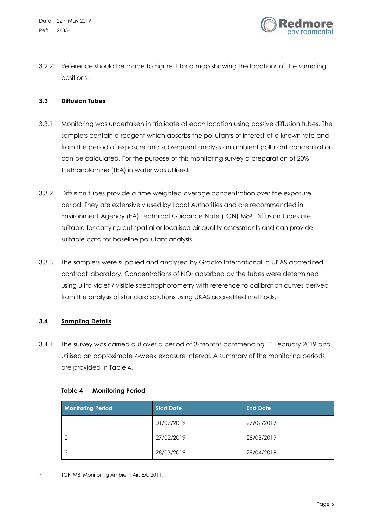

3.2.2 Reference should be made to Figure 1 for a map showing the locations of the sampling positions.

### **3.3 Diffusion Tubes**

- 3.3.1 Monitoring was undertaken in triplicate at each location using passive diffusion tubes. The samplers contain a reagent which absorbs the pollutants of interest at a known rate and from the period of exposure and subsequent analysis an ambient pollutant concentration can be calculated. For the purpose of this monitoring survey a preparation of 20% triethanolamine (TEA) in water was utilised.
- 3.3.2 Diffusion tubes provide a time weighted average concentration over the exposure period. They are extensively used by Local Authorities and are recommended in Environment Agency (EA) Technical Guidance Note (TGN) M83. Diffusion tubes are suitable for carrying out spatial or localised air quality assessments and can provide suitable data for baseline pollutant analysis.
- 3.3.3 The samplers were supplied and analysed by Gradko International, a UKAS accredited contract laboratory. Concentrations of NO2 absorbed by the tubes were determined using ultra violet / visible spectrophotometry with reference to calibration curves derived from the analysis of standard solutions using UKAS accredited methods.

### **3.4 Sampling Details**

3.4.1 The survey was carried out over a period of 3-months commencing 1st February 2019 and utilised an approximate 4-week exposure interval. A summary of the monitoring periods are provided in Table 4.

| Table 4 | <b>Monitoring Period</b> |  |
|---------|--------------------------|--|
|---------|--------------------------|--|

| <b>Monitoring Period</b> | <b>Start Date</b> | <b>End Date</b> |
|--------------------------|-------------------|-----------------|
|                          | 01/02/2019        | 27/02/2019      |
| റ                        | 27/02/2019        | 28/03/2019      |
| 3                        | 28/03/2019        | 29/04/2019      |

l

TGN M8, Monitoring Ambient Air, EA, 2011.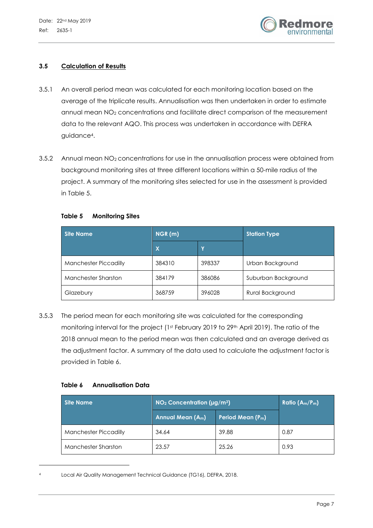

### **3.5 Calculation of Results**

- 3.5.1 An overall period mean was calculated for each monitoring location based on the average of the triplicate results. Annualisation was then undertaken in order to estimate annual mean NO2 concentrations and facilitate direct comparison of the measurement data to the relevant AQO. This process was undertaken in accordance with DEFRA guidance4.
- 3.5.2 Annual mean NO<sub>2</sub> concentrations for use in the annualisation process were obtained from background monitoring sites at three different locations within a 50-mile radius of the project. A summary of the monitoring sites selected for use in the assessment is provided in Table 5.

### **Table 5 Monitoring Sites**

| <b>Site Name</b>           | NGR(m) |        | <b>Station Type</b> |
|----------------------------|--------|--------|---------------------|
|                            | X      |        |                     |
| Manchester Piccadilly      | 384310 | 398337 | Urban Background    |
| <b>Manchester Sharston</b> | 384179 | 386086 | Suburban Background |
| Glazebury                  | 368759 | 396028 | Rural Background    |

3.5.3 The period mean for each monitoring site was calculated for the corresponding monitoring interval for the project (1st February 2019 to 29th April 2019). The ratio of the 2018 annual mean to the period mean was then calculated and an average derived as the adjustment factor. A summary of the data used to calculate the adjustment factor is provided in Table 6.

### **Table 6 Annualisation Data**

l

| <b>Site Name</b>             | $NO2$ Concentration ( $\mu$ g/m <sup>3</sup> )                 | Ratio $(A_m/P_m)$ |      |
|------------------------------|----------------------------------------------------------------|-------------------|------|
|                              | Annual Mean (A <sub>m</sub> )<br>Period Mean (P <sub>m</sub> ) |                   |      |
| <b>Manchester Piccadilly</b> | 34.64                                                          | 39.88             | 0.87 |
| <b>Manchester Sharston</b>   | 23.57                                                          | 25.26             | 0.93 |

Local Air Quality Management Technical Guidance (TG16), DEFRA, 2018.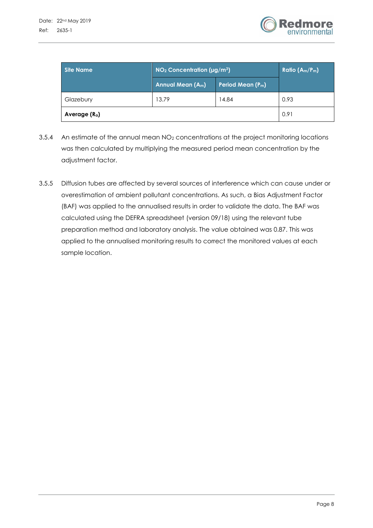

| Site Name      | $NO2$ Concentration (µg/m <sup>3</sup> )                 | Ratio $(A_m/P_m)$ |      |
|----------------|----------------------------------------------------------|-------------------|------|
|                | Period Mean (P <sub>m</sub> )<br><b>Annual Mean (Am)</b> |                   |      |
| Glazebury      | 13.79<br>14.84                                           |                   | 0.93 |
| Average $(Ra)$ |                                                          | 0.91              |      |

- 3.5.4 An estimate of the annual mean NO<sub>2</sub> concentrations at the project monitoring locations was then calculated by multiplying the measured period mean concentration by the adjustment factor.
- 3.5.5 Diffusion tubes are affected by several sources of interference which can cause under or overestimation of ambient pollutant concentrations. As such, a Bias Adjustment Factor (BAF) was applied to the annualised results in order to validate the data. The BAF was calculated using the DEFRA spreadsheet (version 09/18) using the relevant tube preparation method and laboratory analysis. The value obtained was 0.87. This was applied to the annualised monitoring results to correct the monitored values at each sample location.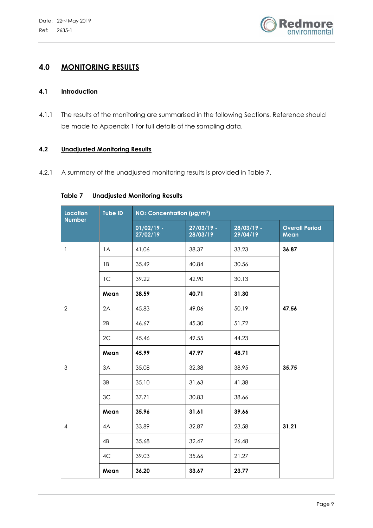

# **4.0 MONITORING RESULTS**

### **4.1 Introduction**

4.1.1 The results of the monitoring are summarised in the following Sections. Reference should be made to Appendix 1 for full details of the sampling data.

#### **4.2 Unadjusted Monitoring Results**

4.2.1 A summary of the unadjusted monitoring results is provided in Table 7.

| <b>Location</b><br><b>Number</b> | <b>Tube ID</b> | NO <sub>2</sub> Concentration (µg/m <sup>3</sup> ) |                          |                          |                               |
|----------------------------------|----------------|----------------------------------------------------|--------------------------|--------------------------|-------------------------------|
|                                  |                | $01/02/19$ -<br>27/02/19                           | $27/03/19$ -<br>28/03/19 | $28/03/19$ -<br>29/04/19 | <b>Overall Period</b><br>Mean |
| $\mathbf{1}$                     | 1A             | 41.06                                              | 38.37                    | 33.23                    | 36.87                         |
|                                  | 1B             | 35.49                                              | 40.84                    | 30.56                    |                               |
|                                  | 1 <sup>C</sup> | 39.22                                              | 42.90                    | 30.13                    |                               |
|                                  | Mean           | 38.59                                              | 40.71                    | 31.30                    |                               |
| $\overline{2}$                   | 2A             | 45.83                                              | 49.06                    | 50.19                    | 47.56                         |
|                                  | 2B             | 46.67                                              | 45.30                    | 51.72                    |                               |
|                                  | 2C             | 45.46                                              | 49.55                    | 44.23                    |                               |
|                                  | Mean           | 45.99                                              | 47.97                    | 48.71                    |                               |
| $\mathfrak{S}$                   | 3A             | 35.08                                              | 32.38                    | 38.95                    | 35.75                         |
|                                  | 3B             | 35.10                                              | 31.63                    | 41.38                    |                               |
|                                  | 3C             | 37.71                                              | 30.83                    | 38.66                    |                               |
|                                  | Mean           | 35.96                                              | 31.61                    | 39.66                    |                               |
| $\overline{4}$                   | 4A             | 33.89                                              | 32.87                    | 23.58                    | 31.21                         |
|                                  | 4B             | 35.68                                              | 32.47                    | 26.48                    |                               |
|                                  | 4C             | 39.03                                              | 35.66                    | 21.27                    |                               |
|                                  | Mean           | 36.20                                              | 33.67                    | 23.77                    |                               |

#### **Table 7 Unadjusted Monitoring Results**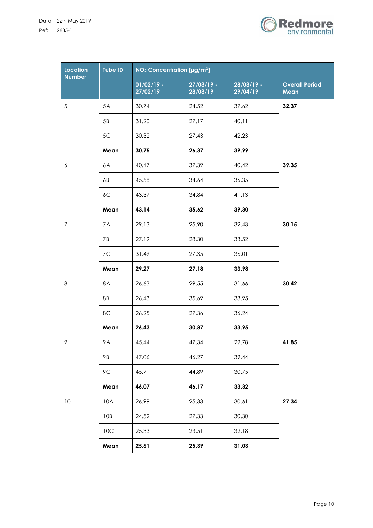

| <b>Location</b> | <b>Tube ID</b> | $NO2$ Concentration (µg/m <sup>3</sup> ) |                          |                          |                               |
|-----------------|----------------|------------------------------------------|--------------------------|--------------------------|-------------------------------|
| <b>Number</b>   |                | $01/02/19 -$<br>27/02/19                 | $27/03/19 -$<br>28/03/19 | $28/03/19$ -<br>29/04/19 | <b>Overall Period</b><br>Mean |
| 5               | 5A             | 30.74                                    | 24.52                    | 37.62                    | 32.37                         |
|                 | 5B             | 31.20                                    | 27.17                    | 40.11                    |                               |
|                 | 5C             | 30.32                                    | 27.43                    | 42.23                    |                               |
|                 | Mean           | 30.75                                    | 26.37                    | 39.99                    |                               |
| 6               | 6A             | 40.47                                    | 37.39                    | 40.42                    | 39.35                         |
|                 | 6B             | 45.58                                    | 34.64                    | 36.35                    |                               |
|                 | 6C             | 43.37                                    | 34.84                    | 41.13                    |                               |
|                 | Mean           | 43.14                                    | 35.62                    | 39.30                    |                               |
| $\overline{7}$  | 7A             | 29.13                                    | 25.90                    | 32.43                    | 30.15                         |
|                 | 7B             | 27.19                                    | 28.30                    | 33.52                    |                               |
|                 | 7C             | 31.49                                    | 27.35                    | 36.01                    |                               |
|                 | Mean           | 29.27                                    | 27.18                    | 33.98                    |                               |
| 8               | 8A             | 26.63                                    | 29.55                    | 31.66                    | 30.42                         |
|                 | 8B             | 26.43                                    | 35.69                    | 33.95                    |                               |
|                 | 8C             | 26.25                                    | 27.36                    | 36.24                    |                               |
|                 | Mean           | 26.43                                    | 30.87                    | 33.95                    |                               |
| 9               | 9A             | 45.44                                    | 47.34                    | 29.78                    | 41.85                         |
|                 | 9B             | 47.06                                    | 46.27                    | 39.44                    |                               |
|                 | 9C             | 45.71                                    | 44.89                    | 30.75                    |                               |
|                 | Mean           | 46.07                                    | 46.17                    | 33.32                    |                               |
| $10$            | 10A            | 26.99                                    | 25.33                    | 30.61                    | 27.34                         |
|                 | 10B            | 24.52                                    | 27.33                    | 30.30                    |                               |
|                 | 10C            | 25.33                                    | 23.51                    | 32.18                    |                               |
|                 | Mean           | 25.61                                    | 25.39                    | 31.03                    |                               |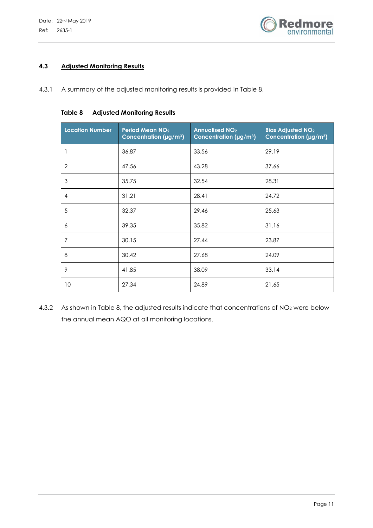

### **4.3 Adjusted Monitoring Results**

4.3.1 A summary of the adjusted monitoring results is provided in Table 8.

#### **Table 8 Adjusted Monitoring Results**

| <b>Location Number</b> | Period Mean NO <sub>2</sub><br>Concentration (µg/m <sup>3</sup> ) | <b>Annualised NO<sub>2</sub></b><br>Concentration (µg/m <sup>3</sup> ) | <b>Bias Adjusted NO2</b><br>Concentration ( $\mu$ g/m <sup>3</sup> ) |
|------------------------|-------------------------------------------------------------------|------------------------------------------------------------------------|----------------------------------------------------------------------|
|                        | 36.87                                                             | 33.56                                                                  | 29.19                                                                |
| $\overline{2}$         | 47.56                                                             | 43.28                                                                  | 37.66                                                                |
| $\mathfrak 3$          | 35.75                                                             | 32.54                                                                  | 28.31                                                                |
| $\overline{4}$         | 31.21                                                             | 28.41                                                                  | 24.72                                                                |
| 5                      | 32.37                                                             | 29.46                                                                  | 25.63                                                                |
| 6                      | 39.35                                                             | 35.82                                                                  | 31.16                                                                |
| 7                      | 30.15                                                             | 27.44                                                                  | 23.87                                                                |
| 8                      | 30.42                                                             | 27.68                                                                  | 24.09                                                                |
| 9                      | 41.85                                                             | 38.09                                                                  | 33.14                                                                |
| 10                     | 27.34                                                             | 24.89                                                                  | 21.65                                                                |

4.3.2 As shown in Table 8, the adjusted results indicate that concentrations of NO<sub>2</sub> were below the annual mean AQO at all monitoring locations.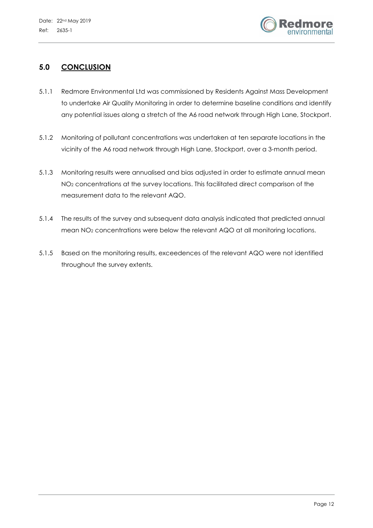

# **5.0 CONCLUSION**

- 5.1.1 Redmore Environmental Ltd was commissioned by Residents Against Mass Development to undertake Air Quality Monitoring in order to determine baseline conditions and identify any potential issues along a stretch of the A6 road network through High Lane, Stockport.
- 5.1.2 Monitoring of pollutant concentrations was undertaken at ten separate locations in the vicinity of the A6 road network through High Lane, Stockport, over a 3-month period.
- 5.1.3 Monitoring results were annualised and bias adjusted in order to estimate annual mean NO2 concentrations at the survey locations. This facilitated direct comparison of the measurement data to the relevant AQO.
- 5.1.4 The results of the survey and subsequent data analysis indicated that predicted annual mean NO2 concentrations were below the relevant AQO at all monitoring locations.
- 5.1.5 Based on the monitoring results, exceedences of the relevant AQO were not identified throughout the survey extents.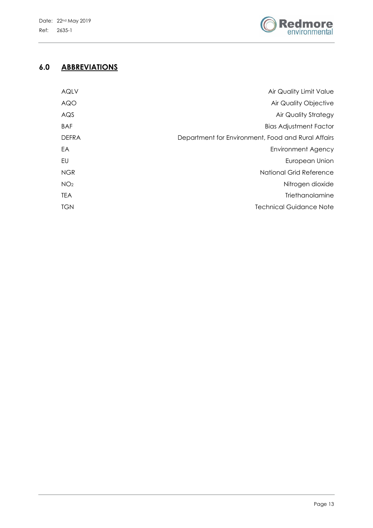

# **6.0 ABBREVIATIONS**

| <b>AQLV</b>     | Air Quality Limit Value                            |
|-----------------|----------------------------------------------------|
| <b>AQO</b>      | Air Quality Objective                              |
| AQS             | <b>Air Quality Strategy</b>                        |
| <b>BAF</b>      | <b>Bias Adjustment Factor</b>                      |
| <b>DEFRA</b>    | Department for Environment, Food and Rural Affairs |
| EA              | Environment Agency                                 |
| EU              | European Union                                     |
| <b>NGR</b>      | National Grid Reference                            |
| NO <sub>2</sub> | Nitrogen dioxide                                   |
| <b>TEA</b>      | <b>Triethanolamine</b>                             |
| <b>TGN</b>      | <b>Technical Guidance Note</b>                     |
|                 |                                                    |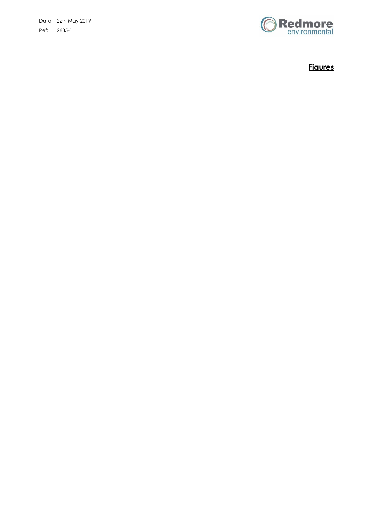

**Figures**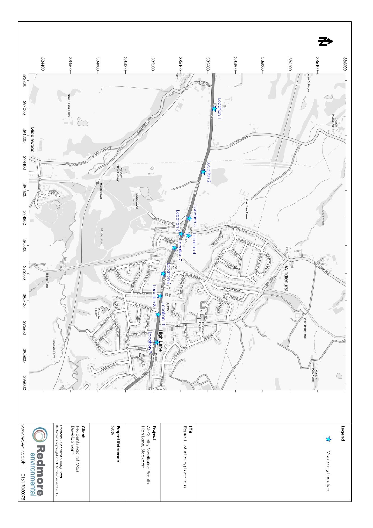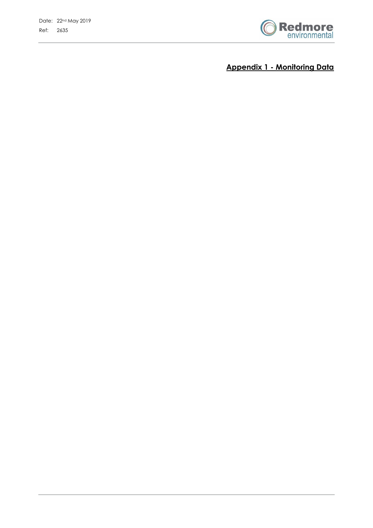

**Appendix 1 - Monitoring Data**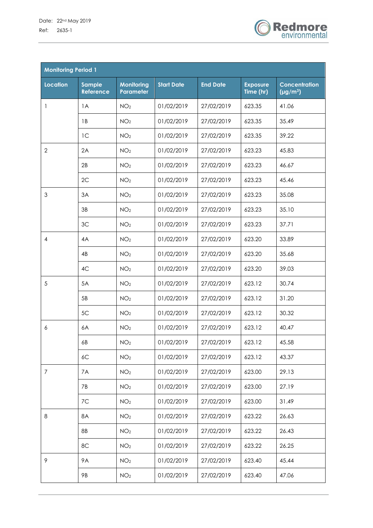

| <b>Monitoring Period 1</b> |                                   |                                       |                   |                 |                              |                                       |  |
|----------------------------|-----------------------------------|---------------------------------------|-------------------|-----------------|------------------------------|---------------------------------------|--|
| <b>Location</b>            | <b>Sample</b><br><b>Reference</b> | <b>Monitoring</b><br><b>Parameter</b> | <b>Start Date</b> | <b>End Date</b> | <b>Exposure</b><br>Time (hr) | <b>Concentration</b><br>$(\mu g/m^3)$ |  |
| 1                          | 1A                                | NO <sub>2</sub>                       | 01/02/2019        | 27/02/2019      | 623.35                       | 41.06                                 |  |
|                            | 1B                                | NO <sub>2</sub>                       | 01/02/2019        | 27/02/2019      | 623.35                       | 35.49                                 |  |
|                            | 1 <sup>C</sup>                    | NO <sub>2</sub>                       | 01/02/2019        | 27/02/2019      | 623.35                       | 39.22                                 |  |
| $\mathbf{2}$               | 2A                                | NO <sub>2</sub>                       | 01/02/2019        | 27/02/2019      | 623.23                       | 45.83                                 |  |
|                            | 2B                                | NO <sub>2</sub>                       | 01/02/2019        | 27/02/2019      | 623.23                       | 46.67                                 |  |
|                            | 2C                                | NO <sub>2</sub>                       | 01/02/2019        | 27/02/2019      | 623.23                       | 45.46                                 |  |
| 3                          | 3A                                | NO <sub>2</sub>                       | 01/02/2019        | 27/02/2019      | 623.23                       | 35.08                                 |  |
|                            | 3B                                | NO <sub>2</sub>                       | 01/02/2019        | 27/02/2019      | 623.23                       | 35.10                                 |  |
|                            | 3C                                | NO <sub>2</sub>                       | 01/02/2019        | 27/02/2019      | 623.23                       | 37.71                                 |  |
| $\overline{4}$             | 4A                                | NO <sub>2</sub>                       | 01/02/2019        | 27/02/2019      | 623.20                       | 33.89                                 |  |
|                            | 4B                                | NO <sub>2</sub>                       | 01/02/2019        | 27/02/2019      | 623.20                       | 35.68                                 |  |
|                            | 4C                                | NO <sub>2</sub>                       | 01/02/2019        | 27/02/2019      | 623.20                       | 39.03                                 |  |
| 5                          | 5A                                | NO <sub>2</sub>                       | 01/02/2019        | 27/02/2019      | 623.12                       | 30.74                                 |  |
|                            | 5B                                | NO <sub>2</sub>                       | 01/02/2019        | 27/02/2019      | 623.12                       | 31.20                                 |  |
|                            | 5C                                | NO <sub>2</sub>                       | 01/02/2019        | 27/02/2019      | 623.12                       | 30.32                                 |  |
| 6                          | 6A                                | NO <sub>2</sub>                       | 01/02/2019        | 27/02/2019      | 623.12                       | 40.47                                 |  |
|                            | 6B                                | NO <sub>2</sub>                       | 01/02/2019        | 27/02/2019      | 623.12                       | 45.58                                 |  |
|                            | 6C                                | NO <sub>2</sub>                       | 01/02/2019        | 27/02/2019      | 623.12                       | 43.37                                 |  |
| $\overline{7}$             | 7A                                | NO <sub>2</sub>                       | 01/02/2019        | 27/02/2019      | 623.00                       | 29.13                                 |  |
|                            | 7B                                | NO <sub>2</sub>                       | 01/02/2019        | 27/02/2019      | 623.00                       | 27.19                                 |  |
|                            | 7C                                | NO <sub>2</sub>                       | 01/02/2019        | 27/02/2019      | 623.00                       | 31.49                                 |  |
| 8                          | 8A                                | NO <sub>2</sub>                       | 01/02/2019        | 27/02/2019      | 623.22                       | 26.63                                 |  |
|                            | 8B                                | NO <sub>2</sub>                       | 01/02/2019        | 27/02/2019      | 623.22                       | 26.43                                 |  |
|                            | 8C                                | NO <sub>2</sub>                       | 01/02/2019        | 27/02/2019      | 623.22                       | 26.25                                 |  |
| 9                          | <b>9A</b>                         | NO <sub>2</sub>                       | 01/02/2019        | 27/02/2019      | 623.40                       | 45.44                                 |  |
|                            | 9B                                | NO <sub>2</sub>                       | 01/02/2019        | 27/02/2019      | 623.40                       | 47.06                                 |  |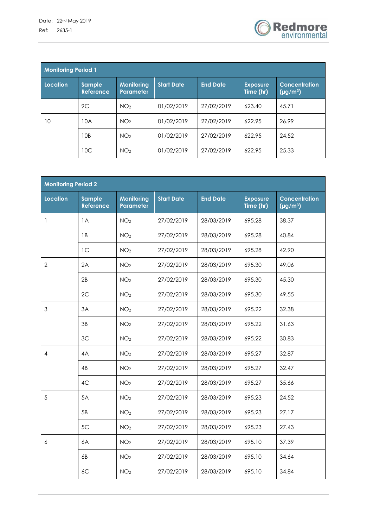

| <b>Monitoring Period 1</b> |                                   |                                       |                   |                 |                              |                                       |  |
|----------------------------|-----------------------------------|---------------------------------------|-------------------|-----------------|------------------------------|---------------------------------------|--|
| Location                   | <b>Sample</b><br><b>Reference</b> | <b>Monitoring</b><br><b>Parameter</b> | <b>Start Date</b> | <b>End Date</b> | <b>Exposure</b><br>Time (hr) | <b>Concentration</b><br>$(\mu g/m^3)$ |  |
|                            | 9C                                | NO <sub>2</sub>                       | 01/02/2019        | 27/02/2019      | 623.40                       | 45.71                                 |  |
| 10                         | 10A                               | NO <sub>2</sub>                       | 01/02/2019        | 27/02/2019      | 622.95                       | 26.99                                 |  |
|                            | 10B                               | NO <sub>2</sub>                       | 01/02/2019        | 27/02/2019      | 622.95                       | 24.52                                 |  |
|                            | 10C                               | NO <sub>2</sub>                       | 01/02/2019        | 27/02/2019      | 622.95                       | 25.33                                 |  |

| <b>Monitoring Period 2</b> |                                   |                                |                   |                 |                              |                                       |  |
|----------------------------|-----------------------------------|--------------------------------|-------------------|-----------------|------------------------------|---------------------------------------|--|
| <b>Location</b>            | <b>Sample</b><br><b>Reference</b> | <b>Monitoring</b><br>Parameter | <b>Start Date</b> | <b>End Date</b> | <b>Exposure</b><br>Time (hr) | <b>Concentration</b><br>$(\mu g/m^3)$ |  |
| $\mathbf{1}$               | 1A                                | NO <sub>2</sub>                | 27/02/2019        | 28/03/2019      | 695.28                       | 38.37                                 |  |
|                            | 1B                                | NO <sub>2</sub>                | 27/02/2019        | 28/03/2019      | 695.28                       | 40.84                                 |  |
|                            | 1 <sup>C</sup>                    | NO <sub>2</sub>                | 27/02/2019        | 28/03/2019      | 695.28                       | 42.90                                 |  |
| $\overline{2}$             | 2A                                | NO <sub>2</sub>                | 27/02/2019        | 28/03/2019      | 695.30                       | 49.06                                 |  |
|                            | 2B                                | NO <sub>2</sub>                | 27/02/2019        | 28/03/2019      | 695.30                       | 45.30                                 |  |
|                            | 2C                                | NO <sub>2</sub>                | 27/02/2019        | 28/03/2019      | 695.30                       | 49.55                                 |  |
| 3                          | 3A                                | NO <sub>2</sub>                | 27/02/2019        | 28/03/2019      | 695.22                       | 32.38                                 |  |
|                            | 3B                                | NO <sub>2</sub>                | 27/02/2019        | 28/03/2019      | 695.22                       | 31.63                                 |  |
|                            | 3C                                | NO <sub>2</sub>                | 27/02/2019        | 28/03/2019      | 695.22                       | 30.83                                 |  |
| 4                          | 4A                                | NO <sub>2</sub>                | 27/02/2019        | 28/03/2019      | 695.27                       | 32.87                                 |  |
|                            | 4B                                | NO <sub>2</sub>                | 27/02/2019        | 28/03/2019      | 695.27                       | 32.47                                 |  |
|                            | 4C                                | NO <sub>2</sub>                | 27/02/2019        | 28/03/2019      | 695.27                       | 35.66                                 |  |
| 5                          | 5A                                | NO <sub>2</sub>                | 27/02/2019        | 28/03/2019      | 695.23                       | 24.52                                 |  |
|                            | 5B                                | NO <sub>2</sub>                | 27/02/2019        | 28/03/2019      | 695.23                       | 27.17                                 |  |
|                            | 5C                                | NO <sub>2</sub>                | 27/02/2019        | 28/03/2019      | 695.23                       | 27.43                                 |  |
| $\boldsymbol{6}$           | 6A                                | NO <sub>2</sub>                | 27/02/2019        | 28/03/2019      | 695.10                       | 37.39                                 |  |
|                            | 6B                                | NO <sub>2</sub>                | 27/02/2019        | 28/03/2019      | 695.10                       | 34.64                                 |  |
|                            | 6C                                | NO <sub>2</sub>                | 27/02/2019        | 28/03/2019      | 695.10                       | 34.84                                 |  |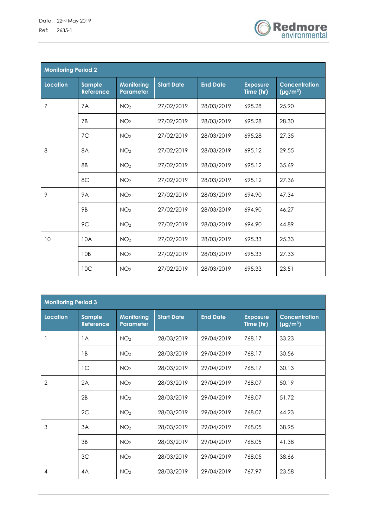

| <b>Monitoring Period 2</b> |                                   |                                       |                   |                 |                              |                                              |  |
|----------------------------|-----------------------------------|---------------------------------------|-------------------|-----------------|------------------------------|----------------------------------------------|--|
| <b>Location</b>            | <b>Sample</b><br><b>Reference</b> | <b>Monitoring</b><br><b>Parameter</b> | <b>Start Date</b> | <b>End Date</b> | <b>Exposure</b><br>Time (hr) | <b>Concentration</b><br>$\sqrt{(\mu g/m^3)}$ |  |
| 7                          | 7A                                | NO <sub>2</sub>                       | 27/02/2019        | 28/03/2019      | 695.28                       | 25.90                                        |  |
|                            | 7 <sub>B</sub>                    | NO <sub>2</sub>                       | 27/02/2019        | 28/03/2019      | 695.28                       | 28.30                                        |  |
|                            | 7C                                | NO <sub>2</sub>                       | 27/02/2019        | 28/03/2019      | 695.28                       | 27.35                                        |  |
| 8                          | <b>8A</b>                         | NO <sub>2</sub>                       | 27/02/2019        | 28/03/2019      | 695.12                       | 29.55                                        |  |
|                            | 8B                                | NO <sub>2</sub>                       | 27/02/2019        | 28/03/2019      | 695.12                       | 35.69                                        |  |
|                            | 8C                                | NO <sub>2</sub>                       | 27/02/2019        | 28/03/2019      | 695.12                       | 27.36                                        |  |
| 9                          | <b>9A</b>                         | NO <sub>2</sub>                       | 27/02/2019        | 28/03/2019      | 694.90                       | 47.34                                        |  |
|                            | <b>9B</b>                         | NO <sub>2</sub>                       | 27/02/2019        | 28/03/2019      | 694.90                       | 46.27                                        |  |
|                            | 9C                                | NO <sub>2</sub>                       | 27/02/2019        | 28/03/2019      | 694.90                       | 44.89                                        |  |
| 10                         | 10A                               | NO <sub>2</sub>                       | 27/02/2019        | 28/03/2019      | 695.33                       | 25.33                                        |  |
|                            | 10 <sub>B</sub>                   | NO <sub>2</sub>                       | 27/02/2019        | 28/03/2019      | 695.33                       | 27.33                                        |  |
|                            | 10 <sup>C</sup>                   | NO <sub>2</sub>                       | 27/02/2019        | 28/03/2019      | 695.33                       | 23.51                                        |  |

| <b>Monitoring Period 3</b> |                                   |                                       |                   |                 |                              |                                       |  |
|----------------------------|-----------------------------------|---------------------------------------|-------------------|-----------------|------------------------------|---------------------------------------|--|
| Location                   | <b>Sample</b><br><b>Reference</b> | <b>Monitoring</b><br><b>Parameter</b> | <b>Start Date</b> | <b>End Date</b> | <b>Exposure</b><br>Time (hr) | <b>Concentration</b><br>$(\mu g/m^3)$ |  |
|                            | 1A                                | NO <sub>2</sub>                       | 28/03/2019        | 29/04/2019      | 768.17                       | 33.23                                 |  |
|                            | 1 <sub>B</sub>                    | NO <sub>2</sub>                       | 28/03/2019        | 29/04/2019      | 768.17                       | 30.56                                 |  |
|                            | 1 <sup>C</sup>                    | NO <sub>2</sub>                       | 28/03/2019        | 29/04/2019      | 768.17                       | 30.13                                 |  |
| $\overline{2}$             | 2A                                | NO <sub>2</sub>                       | 28/03/2019        | 29/04/2019      | 768.07                       | 50.19                                 |  |
|                            | 2B                                | NO <sub>2</sub>                       | 28/03/2019        | 29/04/2019      | 768.07                       | 51.72                                 |  |
|                            | 2C                                | NO <sub>2</sub>                       | 28/03/2019        | 29/04/2019      | 768.07                       | 44.23                                 |  |
| 3                          | 3A                                | NO <sub>2</sub>                       | 28/03/2019        | 29/04/2019      | 768.05                       | 38.95                                 |  |
|                            | 3B                                | NO <sub>2</sub>                       | 28/03/2019        | 29/04/2019      | 768.05                       | 41.38                                 |  |
|                            | 3C                                | NO <sub>2</sub>                       | 28/03/2019        | 29/04/2019      | 768.05                       | 38.66                                 |  |
| 4                          | 4A                                | NO <sub>2</sub>                       | 28/03/2019        | 29/04/2019      | 767.97                       | 23.58                                 |  |